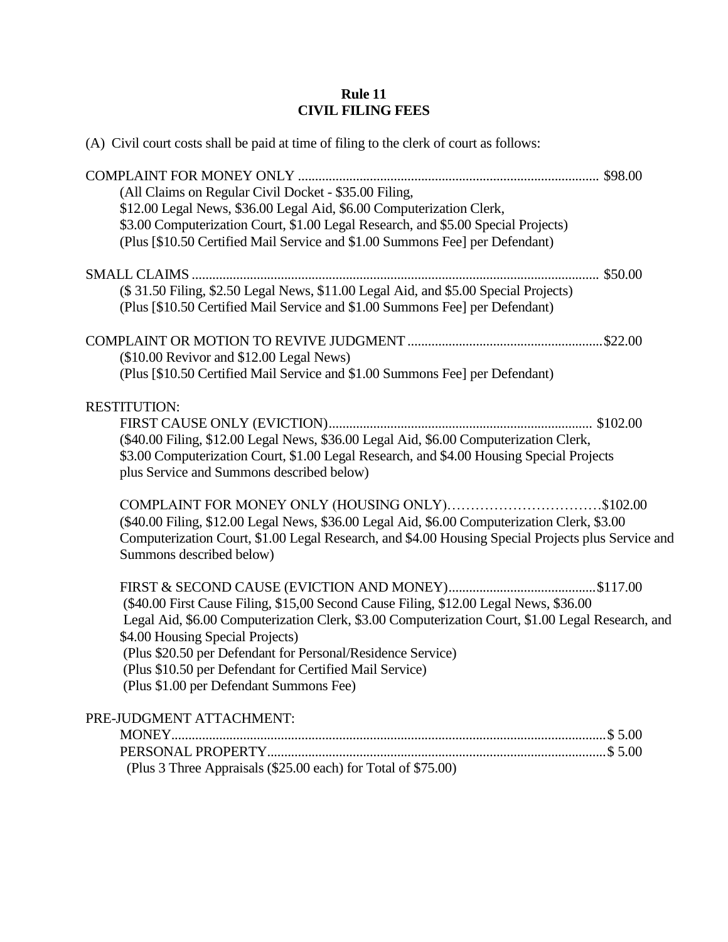## **Rule 11 CIVIL FILING FEES**

| (A) Civil court costs shall be paid at time of filing to the clerk of court as follows:                                                                                                                                                                                                                                                                                                             |  |
|-----------------------------------------------------------------------------------------------------------------------------------------------------------------------------------------------------------------------------------------------------------------------------------------------------------------------------------------------------------------------------------------------------|--|
| (All Claims on Regular Civil Docket - \$35.00 Filing,<br>\$12.00 Legal News, \$36.00 Legal Aid, \$6.00 Computerization Clerk,<br>\$3.00 Computerization Court, \$1.00 Legal Research, and \$5.00 Special Projects)<br>(Plus [\$10.50 Certified Mail Service and \$1.00 Summons Fee] per Defendant)                                                                                                  |  |
| (\$31.50 Filing, \$2.50 Legal News, \$11.00 Legal Aid, and \$5.00 Special Projects)<br>(Plus [\$10.50 Certified Mail Service and \$1.00 Summons Fee] per Defendant)                                                                                                                                                                                                                                 |  |
| (\$10.00 Revivor and \$12.00 Legal News)<br>(Plus [\$10.50 Certified Mail Service and \$1.00 Summons Fee] per Defendant)                                                                                                                                                                                                                                                                            |  |
| <b>RESTITUTION:</b><br>(\$40.00 Filing, \$12.00 Legal News, \$36.00 Legal Aid, \$6.00 Computerization Clerk,<br>\$3.00 Computerization Court, \$1.00 Legal Research, and \$4.00 Housing Special Projects<br>plus Service and Summons described below)                                                                                                                                               |  |
| COMPLAINT FOR MONEY ONLY (HOUSING ONLY)\$102.00<br>(\$40.00 Filing, \$12.00 Legal News, \$36.00 Legal Aid, \$6.00 Computerization Clerk, \$3.00<br>Computerization Court, \$1.00 Legal Research, and \$4.00 Housing Special Projects plus Service and<br>Summons described below)                                                                                                                   |  |
| (\$40.00 First Cause Filing, \$15,00 Second Cause Filing, \$12.00 Legal News, \$36.00<br>Legal Aid, \$6.00 Computerization Clerk, \$3.00 Computerization Court, \$1.00 Legal Research, and<br>\$4.00 Housing Special Projects)<br>(Plus \$20.50 per Defendant for Personal/Residence Service)<br>(Plus \$10.50 per Defendant for Certified Mail Service)<br>(Plus \$1.00 per Defendant Summons Fee) |  |
| PRE-JUDGMENT ATTACHMENT:<br>(Plus 3 Three Appraisals (\$25.00 each) for Total of \$75.00)                                                                                                                                                                                                                                                                                                           |  |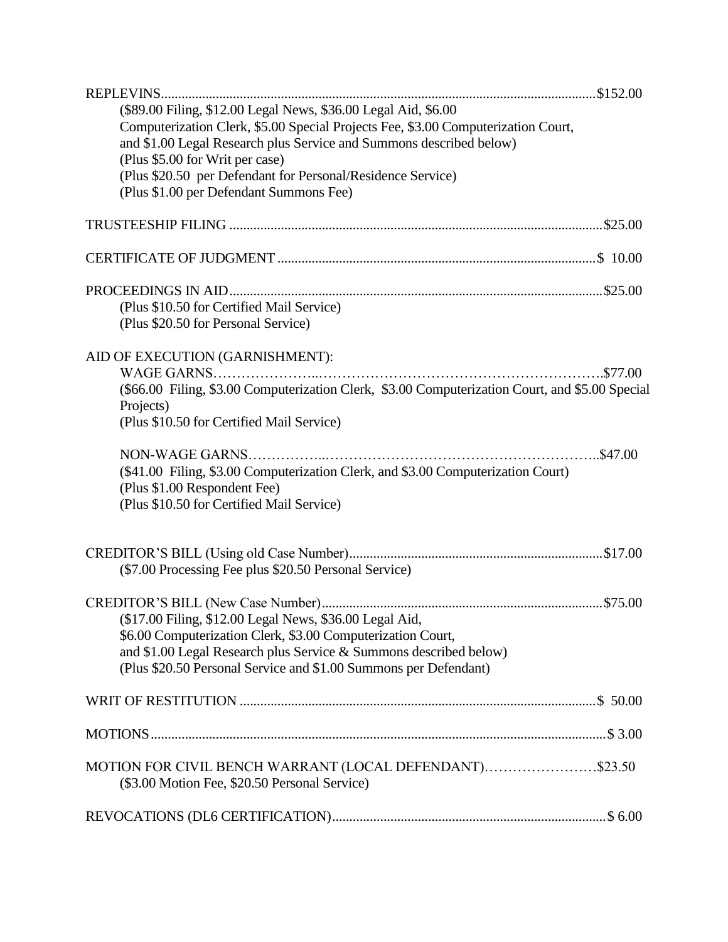| (\$89.00 Filing, \$12.00 Legal News, \$36.00 Legal Aid, \$6.00                                         |
|--------------------------------------------------------------------------------------------------------|
| Computerization Clerk, \$5.00 Special Projects Fee, \$3.00 Computerization Court,                      |
| and \$1.00 Legal Research plus Service and Summons described below)                                    |
| (Plus \$5.00 for Writ per case)                                                                        |
| (Plus \$20.50 per Defendant for Personal/Residence Service)<br>(Plus \$1.00 per Defendant Summons Fee) |
|                                                                                                        |
|                                                                                                        |
|                                                                                                        |
|                                                                                                        |
| (Plus \$10.50 for Certified Mail Service)                                                              |
| (Plus \$20.50 for Personal Service)                                                                    |
|                                                                                                        |
| AID OF EXECUTION (GARNISHMENT):                                                                        |
|                                                                                                        |
| (\$66.00 Filing, \$3.00 Computerization Clerk, \$3.00 Computerization Court, and \$5.00 Special        |
| Projects)                                                                                              |
| (Plus \$10.50 for Certified Mail Service)                                                              |
|                                                                                                        |
| (\$41.00 Filing, \$3.00 Computerization Clerk, and \$3.00 Computerization Court)                       |
| (Plus \$1.00 Respondent Fee)                                                                           |
| (Plus \$10.50 for Certified Mail Service)                                                              |
|                                                                                                        |
|                                                                                                        |
| (\$7.00 Processing Fee plus \$20.50 Personal Service)                                                  |
|                                                                                                        |
|                                                                                                        |
| (\$17.00 Filing, \$12.00 Legal News, \$36.00 Legal Aid,                                                |
| \$6.00 Computerization Clerk, \$3.00 Computerization Court,                                            |
| and \$1.00 Legal Research plus Service & Summons described below)                                      |
| (Plus \$20.50 Personal Service and \$1.00 Summons per Defendant)                                       |
|                                                                                                        |
|                                                                                                        |
|                                                                                                        |
| MOTION FOR CIVIL BENCH WARRANT (LOCAL DEFENDANT)\$23.50                                                |
| (\$3.00 Motion Fee, \$20.50 Personal Service)                                                          |
|                                                                                                        |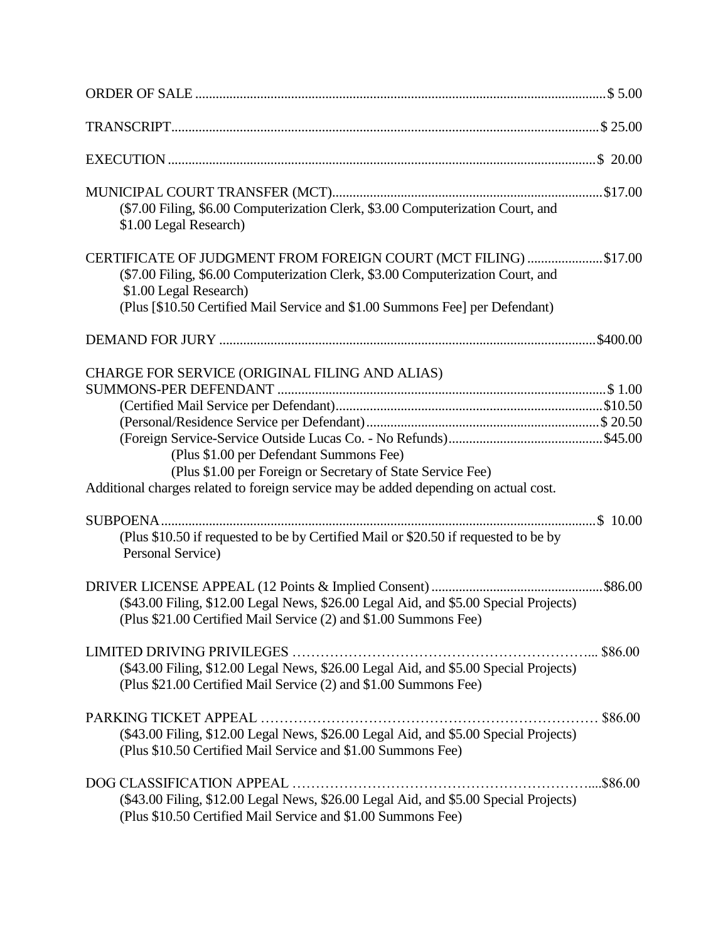| (\$7.00 Filing, \$6.00 Computerization Clerk, \$3.00 Computerization Court, and<br>\$1.00 Legal Research)                                                                                                                                                    |  |
|--------------------------------------------------------------------------------------------------------------------------------------------------------------------------------------------------------------------------------------------------------------|--|
| CERTIFICATE OF JUDGMENT FROM FOREIGN COURT (MCT FILING) \$17.00<br>(\$7.00 Filing, \$6.00 Computerization Clerk, \$3.00 Computerization Court, and<br>\$1.00 Legal Research)<br>(Plus [\$10.50 Certified Mail Service and \$1.00 Summons Fee] per Defendant) |  |
|                                                                                                                                                                                                                                                              |  |
| CHARGE FOR SERVICE (ORIGINAL FILING AND ALIAS)<br>(Plus \$1.00 per Defendant Summons Fee)<br>(Plus \$1.00 per Foreign or Secretary of State Service Fee)<br>Additional charges related to foreign service may be added depending on actual cost.             |  |
| (Plus \$10.50 if requested to be by Certified Mail or \$20.50 if requested to be by<br>Personal Service)                                                                                                                                                     |  |
| \$86.00<br>DRIVER LICENSE APPEAL (12 Points & Implied Consent)<br>(\$43.00 Filing, \$12.00 Legal News, \$26.00 Legal Aid, and \$5.00 Special Projects)<br>(Plus \$21.00 Certified Mail Service (2) and \$1.00 Summons Fee)                                   |  |
| (\$43.00 Filing, \$12.00 Legal News, \$26.00 Legal Aid, and \$5.00 Special Projects)<br>(Plus \$21.00 Certified Mail Service (2) and \$1.00 Summons Fee)                                                                                                     |  |
| (\$43.00 Filing, \$12.00 Legal News, \$26.00 Legal Aid, and \$5.00 Special Projects)<br>(Plus \$10.50 Certified Mail Service and \$1.00 Summons Fee)                                                                                                         |  |
| (\$43.00 Filing, \$12.00 Legal News, \$26.00 Legal Aid, and \$5.00 Special Projects)<br>(Plus \$10.50 Certified Mail Service and \$1.00 Summons Fee)                                                                                                         |  |